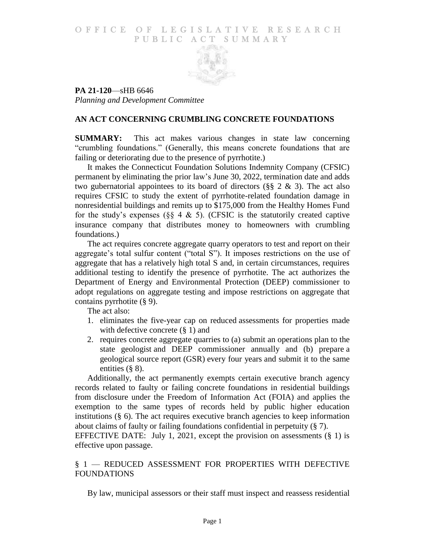### O F FICE OF LEGISLATIVE RESEARCH PUBLIC ACT SUMMARY



**PA 21-120**—sHB 6646 *Planning and Development Committee*

# **AN ACT CONCERNING CRUMBLING CONCRETE FOUNDATIONS**

**SUMMARY:** This act makes various changes in state law concerning "crumbling foundations." (Generally, this means concrete foundations that are failing or deteriorating due to the presence of pyrrhotite.)

It makes the Connecticut Foundation Solutions Indemnity Company (CFSIC) permanent by eliminating the prior law's June 30, 2022, termination date and adds two gubernatorial appointees to its board of directors ( $\S$ § 2 & 3). The act also requires CFSIC to study the extent of pyrrhotite-related foundation damage in nonresidential buildings and remits up to \$175,000 from the Healthy Homes Fund for the study's expenses ( $\S$ § 4 & 5). (CFSIC is the statutorily created captive insurance company that distributes money to homeowners with crumbling foundations.)

The act requires concrete aggregate quarry operators to test and report on their aggregate's total sulfur content ("total S"). It imposes restrictions on the use of aggregate that has a relatively high total S and, in certain circumstances, requires additional testing to identify the presence of pyrrhotite. The act authorizes the Department of Energy and Environmental Protection (DEEP) commissioner to adopt regulations on aggregate testing and impose restrictions on aggregate that contains pyrrhotite (§ 9).

The act also:

- 1. eliminates the five-year cap on reduced assessments for properties made with defective concrete  $(\S 1)$  and
- 2. requires concrete aggregate quarries to (a) submit an operations plan to the state geologist and DEEP commissioner annually and (b) prepare a geological source report (GSR) every four years and submit it to the same entities (§ 8).

Additionally, the act permanently exempts certain executive branch agency records related to faulty or failing concrete foundations in residential buildings from disclosure under the Freedom of Information Act (FOIA) and applies the exemption to the same types of records held by public higher education institutions  $(\S$  6). The act requires executive branch agencies to keep information about claims of faulty or failing foundations confidential in perpetuity (§ 7).

EFFECTIVE DATE: July 1, 2021, except the provision on assessments  $(\S 1)$  is effective upon passage.

# § 1 — REDUCED ASSESSMENT FOR PROPERTIES WITH DEFECTIVE FOUNDATIONS

By law, municipal assessors or their staff must inspect and reassess residential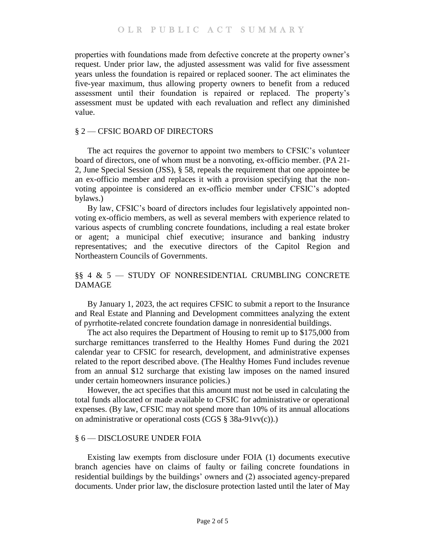properties with foundations made from defective concrete at the property owner's request. Under prior law, the adjusted assessment was valid for five assessment years unless the foundation is repaired or replaced sooner. The act eliminates the five-year maximum, thus allowing property owners to benefit from a reduced assessment until their foundation is repaired or replaced. The property's assessment must be updated with each revaluation and reflect any diminished value.

## § 2 — CFSIC BOARD OF DIRECTORS

The act requires the governor to appoint two members to CFSIC's volunteer board of directors, one of whom must be a nonvoting, ex-officio member. (PA 21- 2, June Special Session (JSS), § 58, repeals the requirement that one appointee be an ex-officio member and replaces it with a provision specifying that the nonvoting appointee is considered an ex-officio member under CFSIC's adopted bylaws.)

By law, CFSIC's board of directors includes four legislatively appointed nonvoting ex-officio members, as well as several members with experience related to various aspects of crumbling concrete foundations, including a real estate broker or agent; a municipal chief executive; insurance and banking industry representatives; and the executive directors of the Capitol Region and Northeastern Councils of Governments.

# §§ 4 & 5 — STUDY OF NONRESIDENTIAL CRUMBLING CONCRETE DAMAGE

By January 1, 2023, the act requires CFSIC to submit a report to the Insurance and Real Estate and Planning and Development committees analyzing the extent of pyrrhotite-related concrete foundation damage in nonresidential buildings.

The act also requires the Department of Housing to remit up to \$175,000 from surcharge remittances transferred to the Healthy Homes Fund during the 2021 calendar year to CFSIC for research, development, and administrative expenses related to the report described above. (The Healthy Homes Fund includes revenue from an annual \$12 surcharge that existing law imposes on the named insured under certain homeowners insurance policies.)

However, the act specifies that this amount must not be used in calculating the total funds allocated or made available to CFSIC for administrative or operational expenses. (By law, CFSIC may not spend more than 10% of its annual allocations on administrative or operational costs (CGS § 38a-91vv(c)).)

### § 6 — DISCLOSURE UNDER FOIA

Existing law exempts from disclosure under FOIA (1) documents executive branch agencies have on claims of faulty or failing concrete foundations in residential buildings by the buildings' owners and (2) associated agency-prepared documents. Under prior law, the disclosure protection lasted until the later of May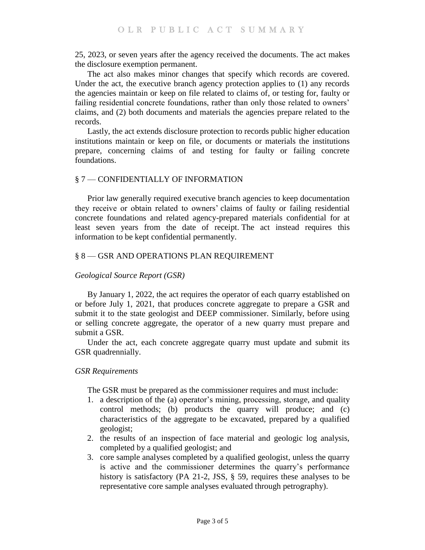25, 2023, or seven years after the agency received the documents. The act makes the disclosure exemption permanent.

The act also makes minor changes that specify which records are covered. Under the act, the executive branch agency protection applies to (1) any records the agencies maintain or keep on file related to claims of, or testing for, faulty or failing residential concrete foundations, rather than only those related to owners' claims, and (2) both documents and materials the agencies prepare related to the records.

Lastly, the act extends disclosure protection to records public higher education institutions maintain or keep on file, or documents or materials the institutions prepare, concerning claims of and testing for faulty or failing concrete foundations.

## § 7 — CONFIDENTIALLY OF INFORMATION

Prior law generally required executive branch agencies to keep documentation they receive or obtain related to owners' claims of faulty or failing residential concrete foundations and related agency-prepared materials confidential for at least seven years from the date of receipt. The act instead requires this information to be kept confidential permanently.

### § 8 — GSR AND OPERATIONS PLAN REQUIREMENT

### *Geological Source Report (GSR)*

By January 1, 2022, the act requires the operator of each quarry established on or before July 1, 2021, that produces concrete aggregate to prepare a GSR and submit it to the state geologist and DEEP commissioner. Similarly, before using or selling concrete aggregate, the operator of a new quarry must prepare and submit a GSR.

Under the act, each concrete aggregate quarry must update and submit its GSR quadrennially.

### *GSR Requirements*

The GSR must be prepared as the commissioner requires and must include:

- 1. a description of the (a) operator's mining, processing, storage, and quality control methods; (b) products the quarry will produce; and (c) characteristics of the aggregate to be excavated, prepared by a qualified geologist;
- 2. the results of an inspection of face material and geologic log analysis, completed by a qualified geologist; and
- 3. core sample analyses completed by a qualified geologist, unless the quarry is active and the commissioner determines the quarry's performance history is satisfactory (PA 21-2, JSS, § 59, requires these analyses to be representative core sample analyses evaluated through petrography).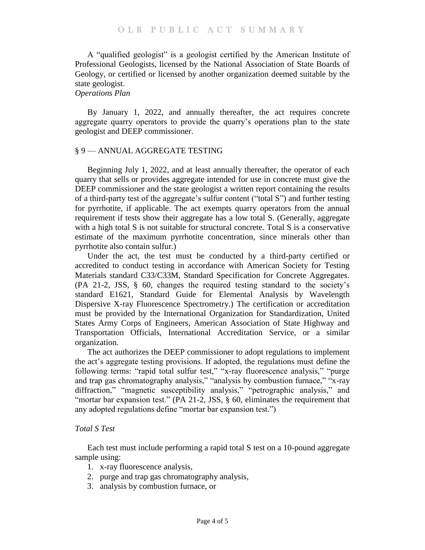A "qualified geologist" is a geologist certified by the American Institute of Professional Geologists, licensed by the National Association of State Boards of Geology, or certified or licensed by another organization deemed suitable by the state geologist.

## *Operations Plan*

By January 1, 2022, and annually thereafter, the act requires concrete aggregate quarry operators to provide the quarry's operations plan to the state geologist and DEEP commissioner.

### § 9 — ANNUAL AGGREGATE TESTING

Beginning July 1, 2022, and at least annually thereafter, the operator of each quarry that sells or provides aggregate intended for use in concrete must give the DEEP commissioner and the state geologist a written report containing the results of a third-party test of the aggregate's sulfur content ("total S") and further testing for pyrrhotite, if applicable. The act exempts quarry operators from the annual requirement if tests show their aggregate has a low total S. (Generally, aggregate with a high total S is not suitable for structural concrete. Total S is a conservative estimate of the maximum pyrrhotite concentration, since minerals other than pyrrhotite also contain sulfur.)

Under the act, the test must be conducted by a third-party certified or accredited to conduct testing in accordance with American Society for Testing Materials standard C33/C33M, Standard Specification for Concrete Aggregates. (PA 21-2, JSS, § 60, changes the required testing standard to the society's standard E1621, Standard Guide for Elemental Analysis by Wavelength Dispersive X-ray Fluorescence Spectrometry.) The certification or accreditation must be provided by the International Organization for Standardization, United States Army Corps of Engineers, American Association of State Highway and Transportation Officials, International Accreditation Service, or a similar organization.

The act authorizes the DEEP commissioner to adopt regulations to implement the act's aggregate testing provisions. If adopted, the regulations must define the following terms: "rapid total sulfur test," "x-ray fluorescence analysis," "purge and trap gas chromatography analysis," "analysis by combustion furnace," "x-ray diffraction," "magnetic susceptibility analysis," "petrographic analysis," and "mortar bar expansion test." (PA 21-2, JSS, § 60, eliminates the requirement that any adopted regulations define "mortar bar expansion test.")

## *Total S Test*

Each test must include performing a rapid total S test on a 10-pound aggregate sample using:

- 1. x-ray fluorescence analysis,
- 2. purge and trap gas chromatography analysis,
- 3. analysis by combustion furnace, or